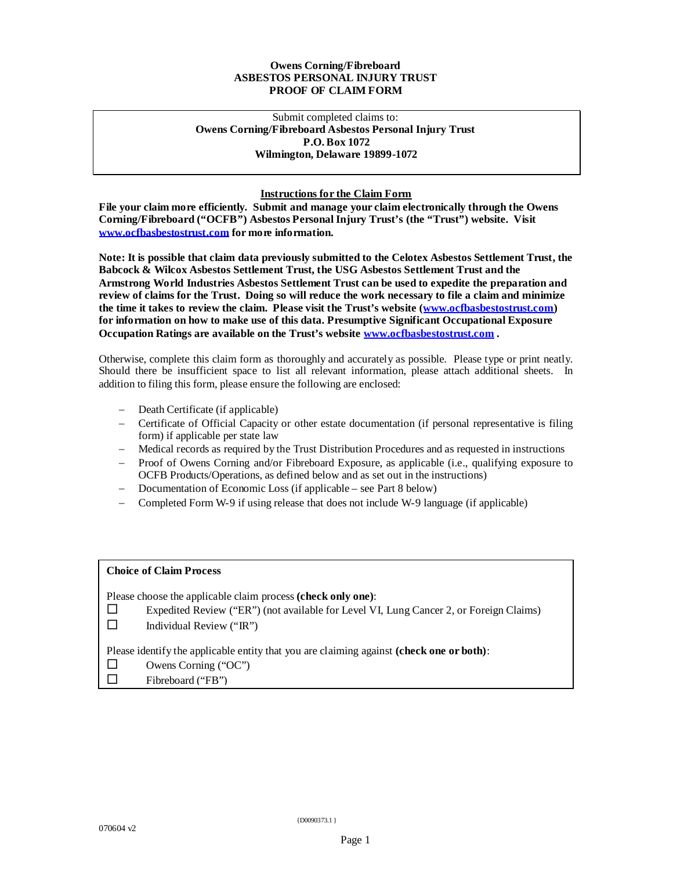# **Owens Corning/Fibreboard ASBESTOS PERSONAL INJURY TRUST PROOF OF CLAIM FORM**

Submit completed claims to: **Owens Corning/Fibreboard Asbestos Personal Injury Trust P.O. Box 1072 Wilmington, Delaware 19899-1072**

#### **Instructions for the Claim Form**

**File your claim more efficiently. Submit and manage your claim electronically through the Owens Corning/Fibreboard ("OCFB") Asbestos Personal Injury Trust's (the "Trust") website. Visit www.ocfbasbestostrust.com for more information.**

**Note: It is possible that claim data previously submitted to the Celotex Asbestos Settlement Trust, the Babcock & Wilcox Asbestos Settlement Trust, the USG Asbestos Settlement Trust and the Armstrong World Industries Asbestos Settlement Trust can be used to expedite the preparation and review of claims for the Trust. Doing so will reduce the work necessary to file a claim and minimize the time it takes to review the claim. Please visit the Trust's website (www.ocfbasbestostrust.com) for information on how to make use of this data. Presumptive Significant Occupational Exposure Occupation Ratings are available on the Trust's website www.ocfbasbestostrust.com .**

Otherwise, complete this claim form as thoroughly and accurately as possible. Please type or print neatly. Should there be insufficient space to list all relevant information, please attach additional sheets. In addition to filing this form, please ensure the following are enclosed:

- Death Certificate (if applicable)
- Certificate of Official Capacity or other estate documentation (if personal representative is filing form) if applicable per state law
- Medical records as required by the Trust Distribution Procedures and as requested in instructions
- Proof of Owens Corning and/or Fibreboard Exposure, as applicable (i.e., qualifying exposure to OCFB Products/Operations, as defined below and as set out in the instructions)
- Documentation of Economic Loss (if applicable see Part 8 below)
- Completed Form W-9 if using release that does not include W-9 language (if applicable)

# **Choice of Claim Process**

Please choose the applicable claim process **(check only one)**:

- Expedited Review ("ER") (not available for Level VI, Lung Cancer 2, or Foreign Claims)
- $\Box$  Individual Review ("IR")

Please identify the applicable entity that you are claiming against **(check one or both)**:

- $\Box$  Owens Corning ("OC")
- $\Box$  Fibreboard ("FB")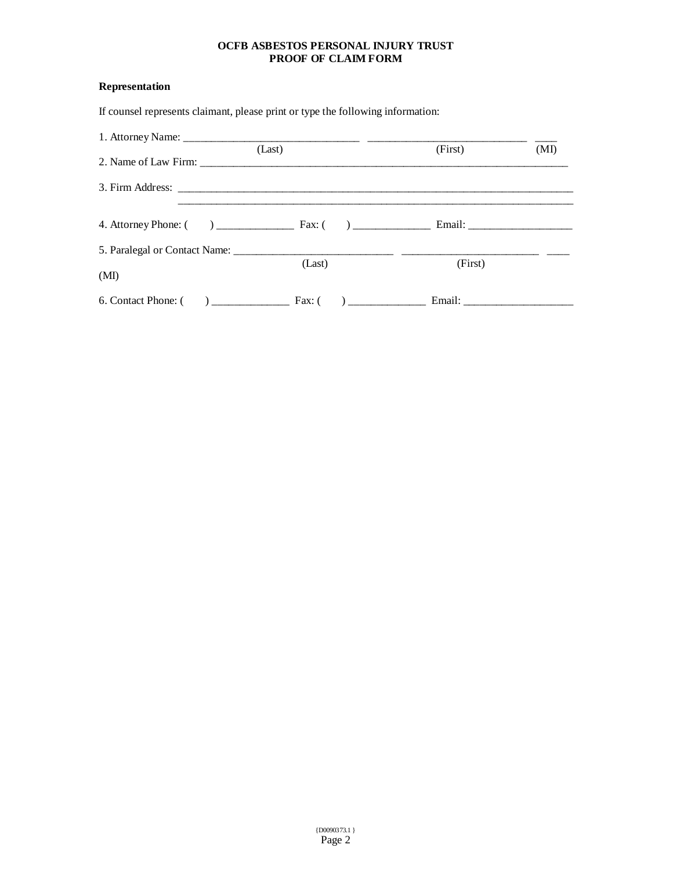# **Representation**

If counsel represents claimant, please print or type the following information:

|                     | (Last)                   | (First) | (MI) |
|---------------------|--------------------------|---------|------|
|                     |                          |         |      |
|                     |                          |         |      |
|                     |                          |         |      |
|                     |                          |         |      |
| (MI)                | (Last)                   | (First) |      |
| 6. Contact Phone: ( | $\overline{\phantom{a}}$ |         |      |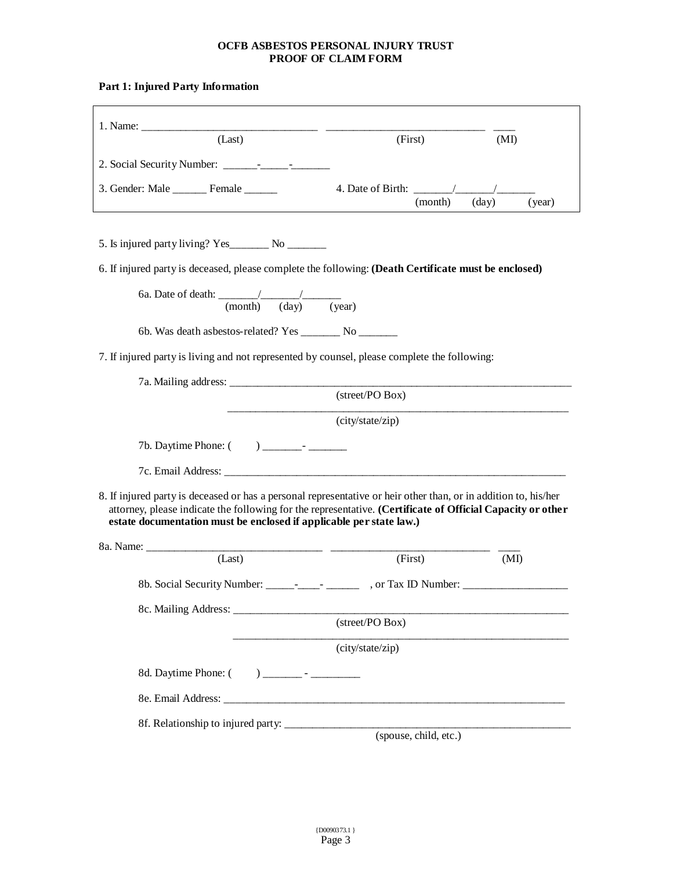**Part 1: Injured Party Information**

| (Last)                                                                                                                                                                                                                                                                                               | (First)                                                                                        | (MI)                     |
|------------------------------------------------------------------------------------------------------------------------------------------------------------------------------------------------------------------------------------------------------------------------------------------------------|------------------------------------------------------------------------------------------------|--------------------------|
|                                                                                                                                                                                                                                                                                                      |                                                                                                |                          |
| 3. Gender: Male _________ Female _______                                                                                                                                                                                                                                                             | 4. Date of Birth: $\frac{1}{\sqrt{1-\frac{1}{2}}}\left  \frac{1}{\sqrt{1-\frac{1}{2}}}\right $ |                          |
|                                                                                                                                                                                                                                                                                                      | (month)                                                                                        | $(\text{day})$<br>(year) |
|                                                                                                                                                                                                                                                                                                      |                                                                                                |                          |
| 5. Is injured party living? Yes_________ No ________                                                                                                                                                                                                                                                 |                                                                                                |                          |
| 6. If injured party is deceased, please complete the following: (Death Certificate must be enclosed)                                                                                                                                                                                                 |                                                                                                |                          |
|                                                                                                                                                                                                                                                                                                      |                                                                                                |                          |
| 6a. Date of death: $\frac{\sqrt{(\text{month})^2 + (\text{day})^2 + (\text{year})^2}}{(\text{day})^2 + (\text{year})^2}}$                                                                                                                                                                            |                                                                                                |                          |
|                                                                                                                                                                                                                                                                                                      |                                                                                                |                          |
| 6b. Was death as bestos-related? Yes __________ No _________                                                                                                                                                                                                                                         |                                                                                                |                          |
| 7. If injured party is living and not represented by counsel, please complete the following:                                                                                                                                                                                                         |                                                                                                |                          |
|                                                                                                                                                                                                                                                                                                      |                                                                                                |                          |
|                                                                                                                                                                                                                                                                                                      | $(\text{street/PO Box})$                                                                       |                          |
|                                                                                                                                                                                                                                                                                                      | (city/state/zip)                                                                               |                          |
|                                                                                                                                                                                                                                                                                                      |                                                                                                |                          |
|                                                                                                                                                                                                                                                                                                      |                                                                                                |                          |
|                                                                                                                                                                                                                                                                                                      |                                                                                                |                          |
| 8. If injured party is deceased or has a personal representative or heir other than, or in addition to, his/her<br>attorney, please indicate the following for the representative. (Certificate of Official Capacity or other<br>estate documentation must be enclosed if applicable per state law.) |                                                                                                |                          |
|                                                                                                                                                                                                                                                                                                      |                                                                                                |                          |
| (Last)                                                                                                                                                                                                                                                                                               | (First)                                                                                        | (MI)                     |
|                                                                                                                                                                                                                                                                                                      |                                                                                                |                          |
|                                                                                                                                                                                                                                                                                                      |                                                                                                |                          |
|                                                                                                                                                                                                                                                                                                      | (street/PO Box)                                                                                |                          |
|                                                                                                                                                                                                                                                                                                      | (city/state/zip)                                                                               |                          |
| 8d. Daytime Phone: () _________ - ______________                                                                                                                                                                                                                                                     |                                                                                                |                          |
|                                                                                                                                                                                                                                                                                                      |                                                                                                |                          |
|                                                                                                                                                                                                                                                                                                      |                                                                                                |                          |
|                                                                                                                                                                                                                                                                                                      |                                                                                                |                          |
|                                                                                                                                                                                                                                                                                                      | $(s_{\text{pouse, child, etc.}})$                                                              |                          |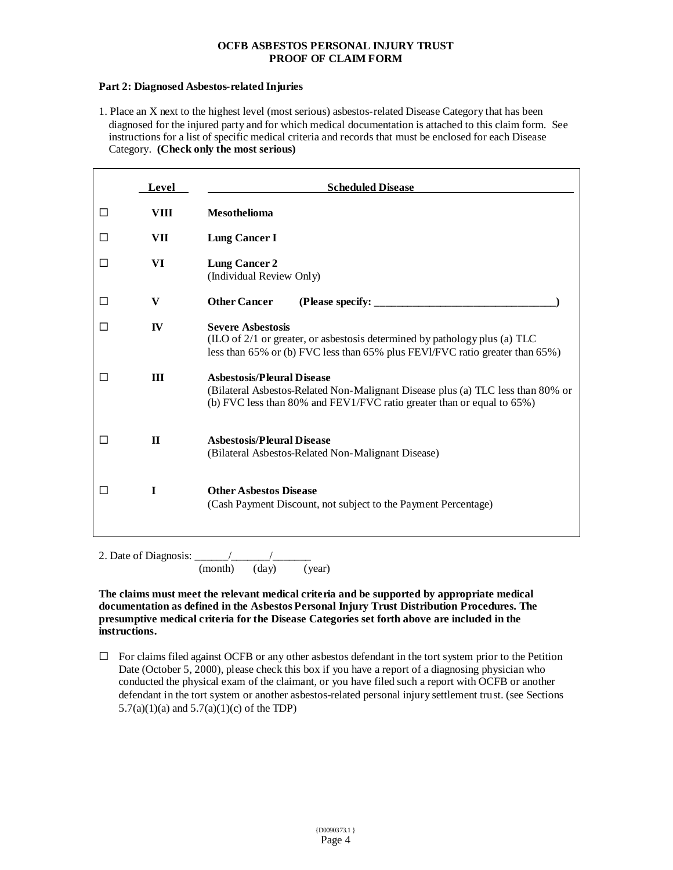#### **Part 2: Diagnosed Asbestos-related Injuries**

1. Place an X next to the highest level (most serious) asbestos-related Disease Category that has been diagnosed for the injured party and for which medical documentation is attached to this claim form. See instructions for a list of specific medical criteria and records that must be enclosed for each Disease Category. **(Check only the most serious)**

|    | Level        | <b>Scheduled Disease</b>                                                                                                                                                                       |
|----|--------------|------------------------------------------------------------------------------------------------------------------------------------------------------------------------------------------------|
| □  | VIII         | <b>Mesothelioma</b>                                                                                                                                                                            |
| ⊔  | VII          | <b>Lung Cancer I</b>                                                                                                                                                                           |
|    | VI           | <b>Lung Cancer 2</b><br>(Individual Review Only)                                                                                                                                               |
| □  | $\mathbf{V}$ | <b>Other Cancer</b><br>(Please specify: __________                                                                                                                                             |
| П  | $\bf{IV}$    | <b>Severe Asbestosis</b><br>(ILO of 2/1 or greater, or asbestosis determined by pathology plus (a) TLC<br>less than 65% or (b) FVC less than 65% plus FEVl/FVC ratio greater than 65%)         |
| П  | III          | <b>Asbestosis/Pleural Disease</b><br>(Bilateral Asbestos-Related Non-Malignant Disease plus (a) TLC less than 80% or<br>(b) FVC less than 80% and FEV1/FVC ratio greater than or equal to 65%) |
| ΙI | $\mathbf{H}$ | <b>Asbestosis/Pleural Disease</b><br>(Bilateral Asbestos-Related Non-Malignant Disease)                                                                                                        |
|    | $\mathbf I$  | <b>Other Asbestos Disease</b><br>(Cash Payment Discount, not subject to the Payment Percentage)                                                                                                |

2. Date of Diagnosis:

(month) (day) (year)

**The claims must meet the relevant medical criteria and be supported by appropriate medical documentation as defined in the Asbestos Personal Injury Trust Distribution Procedures. The presumptive medical criteria for the Disease Categories set forth above are included in the instructions.**

 $\Box$  For claims filed against OCFB or any other asbestos defendant in the tort system prior to the Petition Date (October 5, 2000), please check this box if you have a report of a diagnosing physician who conducted the physical exam of the claimant, or you have filed such a report with OCFB or another defendant in the tort system or another asbestos-related personal injury settlement trust. (see Sections  $5.7(a)(1)(a)$  and  $5.7(a)(1)(c)$  of the TDP)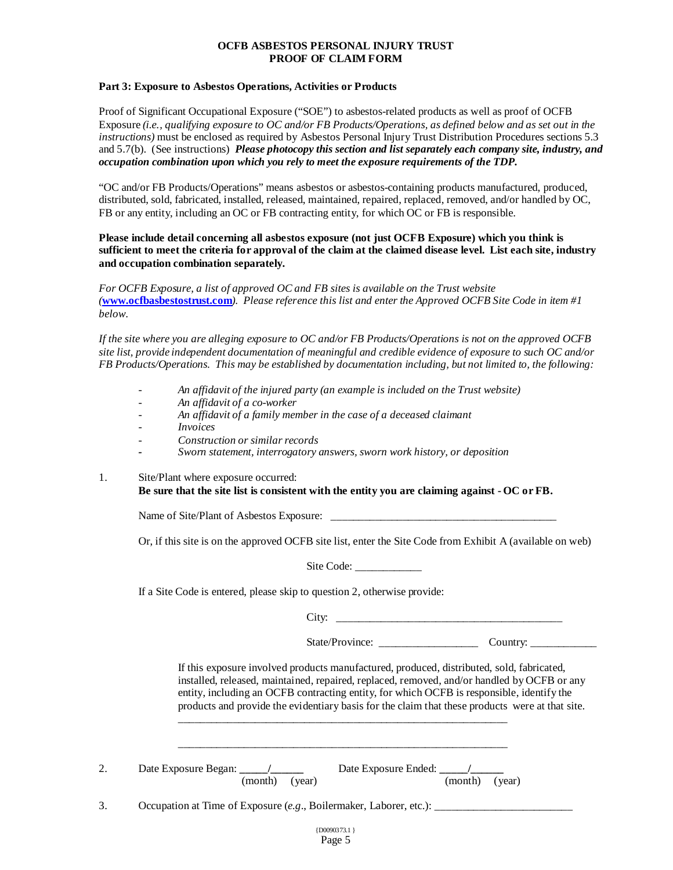#### **Part 3: Exposure to Asbestos Operations, Activities or Products**

Proof of Significant Occupational Exposure ("SOE") to asbestos-related products as well as proof of OCFB Exposure *(i.e., qualifying exposure to OC and/or FB Products/Operations, as defined below and as set out in the instructions)* must be enclosed as required by Asbestos Personal Injury Trust Distribution Procedures sections 5.3 and 5.7(b). (See instructions) *Please photocopy this section and list separately each company site, industry, and occupation combination upon which you rely to meet the exposure requirements of the TDP.*

"OC and/or FB Products/Operations" means asbestos or asbestos-containing products manufactured, produced, distributed, sold, fabricated, installed, released, maintained, repaired, replaced, removed, and/or handled by OC, FB or any entity, including an OC or FB contracting entity, for which OC or FB is responsible.

# **Please include detail concerning all asbestos exposure (not just OCFB Exposure) which you think is sufficient to meet the criteria for approval of the claim at the claimed disease level. List each site, industry and occupation combination separately.**

*For OCFB Exposure, a list of approved OC and FB sites is available on the Trust website (***www.ocfbasbestostrust.com***). Please reference this list and enter the Approved OCFB Site Code in item #1 below.*

*If the site where you are alleging exposure to OC and/or FB Products/Operations is not on the approved OCFB site list, provide independent documentation of meaningful and credible evidence of exposure to such OC and/or FB Products/Operations. This may be established by documentation including, but not limited to, the following:*

- *An affidavit of the injured party (an example is included on the Trust website)*
- *An affidavit of a co-worker*
- *An affidavit of a family member in the case of a deceased claimant*
- *Invoices*
- *Construction or similar records*
- *- Sworn statement, interrogatory answers, sworn work history, or deposition*

1. Site/Plant where exposure occurred: **Be sure that the site list is consistent with the entity you are claiming against - OC or FB.**

Name of Site/Plant of Asbestos Exposure: \_\_\_\_\_\_\_\_\_\_\_\_\_\_\_\_\_\_\_\_\_\_\_\_\_\_\_\_\_\_\_\_\_\_\_\_\_\_\_\_\_

Or, if this site is on the approved OCFB site list, enter the Site Code from Exhibit A (available on web)

Site Code:

If a Site Code is entered, please skip to question 2, otherwise provide:

| City. |  |
|-------|--|
|       |  |
|       |  |
| -     |  |

| State/Province: | Country: |  |
|-----------------|----------|--|
|                 |          |  |

If this exposure involved products manufactured, produced, distributed, sold, fabricated, installed, released, maintained, repaired, replaced, removed, and/or handled by OCFB or any entity, including an OCFB contracting entity, for which OCFB is responsible, identify the products and provide the evidentiary basis for the claim that these products were at that site.

| <u>، ، ،</u> | Date Exposure Began: |                | Date Exposure Ended: |                |  |
|--------------|----------------------|----------------|----------------------|----------------|--|
|              |                      | (month) (year) |                      | (month) (year) |  |

3. Occupation at Time of Exposure (*e.g*., Boilermaker, Laborer, etc.): \_\_\_\_\_\_\_\_\_\_\_\_\_\_\_\_\_\_\_\_\_\_\_\_\_

\_\_\_\_\_\_\_\_\_\_\_\_\_\_\_\_\_\_\_\_\_\_\_\_\_\_\_\_\_\_\_\_\_\_\_\_\_\_\_\_\_\_\_\_\_\_\_\_\_\_\_\_\_\_\_\_\_\_\_\_

\_\_\_\_\_\_\_\_\_\_\_\_\_\_\_\_\_\_\_\_\_\_\_\_\_\_\_\_\_\_\_\_\_\_\_\_\_\_\_\_\_\_\_\_\_\_\_\_\_\_\_\_\_\_\_\_\_\_\_\_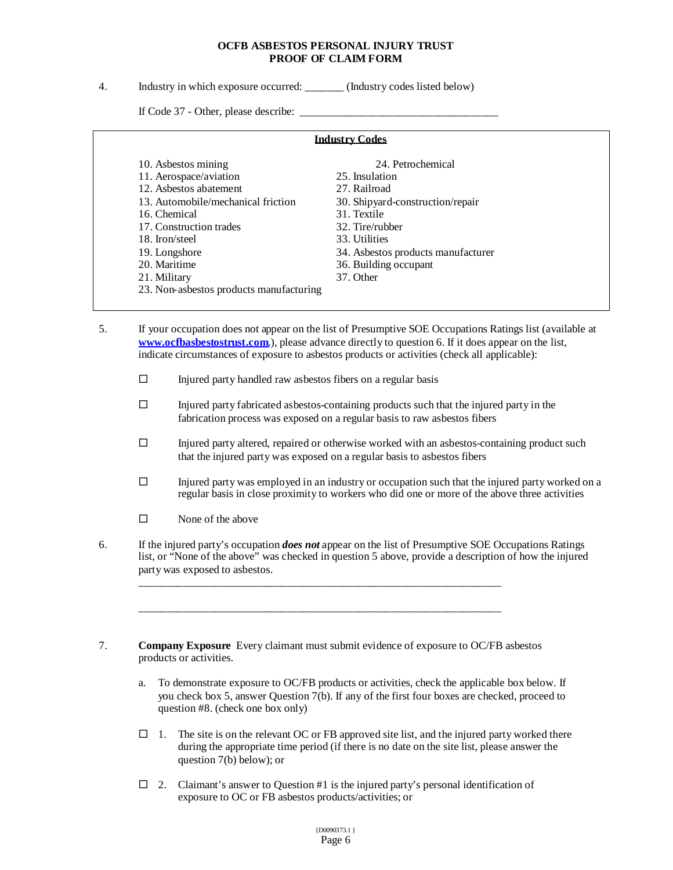4. Industry in which exposure occurred: \_\_\_\_\_\_\_ (Industry codes listed below)

If Code 37 - Other, please describe: \_\_\_\_\_\_\_\_\_\_\_\_\_\_\_\_\_\_\_\_\_\_\_\_\_\_\_\_\_\_\_\_\_\_\_\_

| <b>Industry Codes</b>                   |                                    |  |  |
|-----------------------------------------|------------------------------------|--|--|
| 10. Asbestos mining                     | 24. Petrochemical                  |  |  |
| 11. Aerospace/aviation                  | 25. Insulation                     |  |  |
| 12. Asbestos abatement                  | 27. Railroad                       |  |  |
| 13. Automobile/mechanical friction      | 30. Shipyard-construction/repair   |  |  |
| 16. Chemical                            | 31. Textile                        |  |  |
| 17. Construction trades                 | 32. Tire/rubber                    |  |  |
| 18. Iron/steel                          | 33. Utilities                      |  |  |
| 19. Longshore                           | 34. Asbestos products manufacturer |  |  |
| 20. Maritime                            | 36. Building occupant              |  |  |
| 21. Military                            | 37. Other                          |  |  |
| 23. Non-asbestos products manufacturing |                                    |  |  |

- 5. If your occupation does not appear on the list of Presumptive SOE Occupations Ratings list (available at **www.ocfbasbestostrust.com**.), please advance directly to question 6. If it does appear on the list, indicate circumstances of exposure to asbestos products or activities (check all applicable):
	- $\Box$  Injured party handled raw asbestos fibers on a regular basis
	- $\Box$  Injured party fabricated asbestos-containing products such that the injured party in the fabrication process was exposed on a regular basis to raw asbestos fibers
	- $\Box$  Injured party altered, repaired or otherwise worked with an asbestos-containing product such that the injured party was exposed on a regular basis to asbestos fibers
	- $\Box$  Injured party was employed in an industry or occupation such that the injured party worked on a regular basis in close proximity to workers who did one or more of the above three activities
	- $\square$  None of the above
- 6. If the injured party's occupation *does not* appear on the list of Presumptive SOE Occupations Ratings list, or "None of the above" was checked in question 5 above, provide a description of how the injured party was exposed to asbestos.

7. **Company Exposure** Every claimant must submit evidence of exposure to OC/FB asbestos products or activities.

\_\_\_\_\_\_\_\_\_\_\_\_\_\_\_\_\_\_\_\_\_\_\_\_\_\_\_\_\_\_\_\_\_\_\_\_\_\_\_\_\_\_\_\_\_\_\_\_\_\_\_\_\_\_\_\_\_\_\_\_\_\_\_\_\_\_

\_\_\_\_\_\_\_\_\_\_\_\_\_\_\_\_\_\_\_\_\_\_\_\_\_\_\_\_\_\_\_\_\_\_\_\_\_\_\_\_\_\_\_\_\_\_\_\_\_\_\_\_\_\_\_\_\_\_\_\_\_\_\_\_\_\_

- a. To demonstrate exposure to OC/FB products or activities, check the applicable box below. If you check box 5, answer Question 7(b). If any of the first four boxes are checked, proceed to question #8. (check one box only)
- $\Box$  1. The site is on the relevant OC or FB approved site list, and the injured party worked there during the appropriate time period (if there is no date on the site list, please answer the question 7(b) below); or
- $\Box$  2. Claimant's answer to Question #1 is the injured party's personal identification of exposure to OC or FB asbestos products/activities; or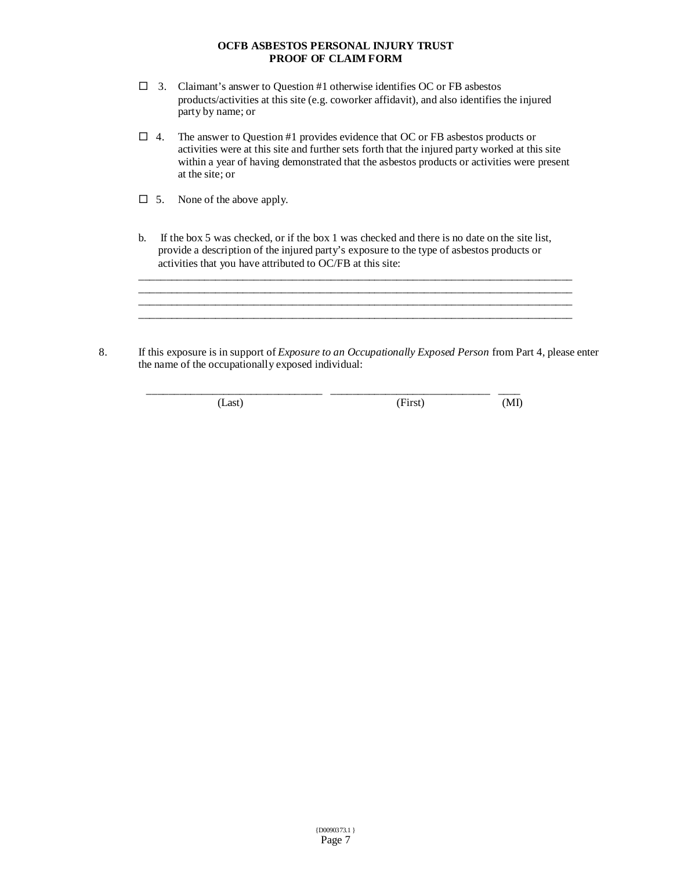- $\Box$  3. Claimant's answer to Question #1 otherwise identifies OC or FB asbestos products/activities at this site (e.g. coworker affidavit), and also identifies the injured party by name; or
- $\Box$  4. The answer to Question #1 provides evidence that OC or FB asbestos products or activities were at this site and further sets forth that the injured party worked at this site within a year of having demonstrated that the asbestos products or activities were present at the site; or
- $\Box$  5. None of the above apply.
- b. If the box 5 was checked, or if the box 1 was checked and there is no date on the site list, provide a description of the injured party's exposure to the type of asbestos products or activities that you have attributed to OC/FB at this site:

\_\_\_\_\_\_\_\_\_\_\_\_\_\_\_\_\_\_\_\_\_\_\_\_\_\_\_\_\_\_\_\_\_\_\_\_\_\_\_\_\_\_\_\_\_\_\_\_\_\_\_\_\_\_\_\_\_\_\_\_\_\_\_\_\_\_\_\_\_\_\_\_\_\_\_\_\_\_\_ \_\_\_\_\_\_\_\_\_\_\_\_\_\_\_\_\_\_\_\_\_\_\_\_\_\_\_\_\_\_\_\_\_\_\_\_\_\_\_\_\_\_\_\_\_\_\_\_\_\_\_\_\_\_\_\_\_\_\_\_\_\_\_\_\_\_\_\_\_\_\_\_\_\_\_\_\_\_\_  $\_$  ,  $\_$  ,  $\_$  ,  $\_$  ,  $\_$  ,  $\_$  ,  $\_$  ,  $\_$  ,  $\_$  ,  $\_$  ,  $\_$  ,  $\_$  ,  $\_$  ,  $\_$  ,  $\_$  ,  $\_$  ,  $\_$  ,  $\_$ \_\_\_\_\_\_\_\_\_\_\_\_\_\_\_\_\_\_\_\_\_\_\_\_\_\_\_\_\_\_\_\_\_\_\_\_\_\_\_\_\_\_\_\_\_\_\_\_\_\_\_\_\_\_\_\_\_\_\_\_\_\_\_\_\_\_\_\_\_\_\_\_\_\_\_\_\_\_\_

8. If this exposure is in support of *Exposure to an Occupationally Exposed Person* from Part 4, please enter the name of the occupationally exposed individual:

\_\_\_\_\_\_\_\_\_\_\_\_\_\_\_\_\_\_\_\_\_\_\_\_\_\_\_\_\_\_\_\_ \_\_\_\_\_\_\_\_\_\_\_\_\_\_\_\_\_\_\_\_\_\_\_\_\_\_\_\_\_ \_\_\_\_

(Last) (First) (MI)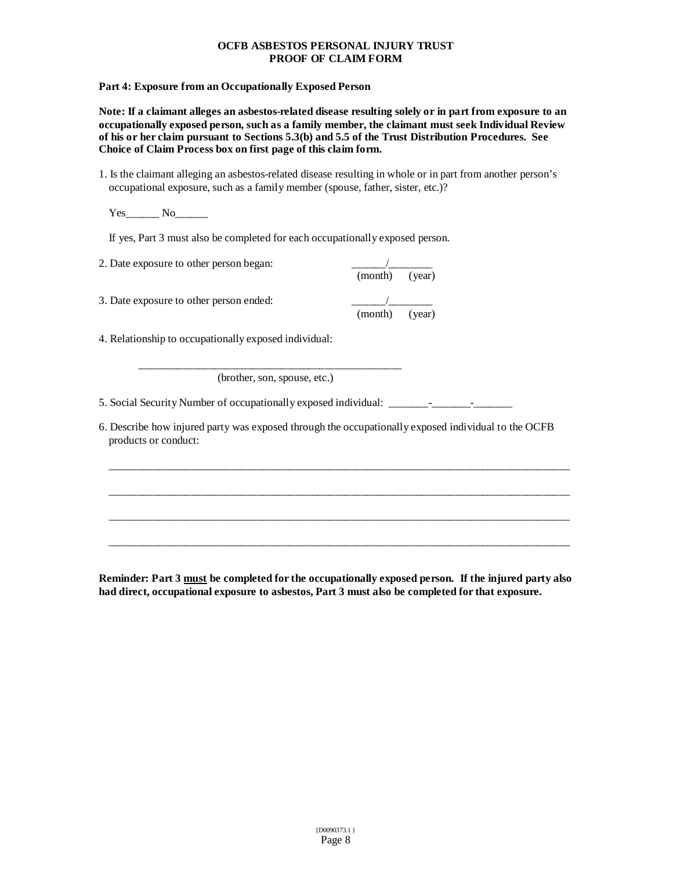#### **Part 4: Exposure from an Occupationally Exposed Person**

**Note: If a claimant alleges an asbestos-related disease resulting solely or in part from exposure to an occupationally exposed person, such as a family member, the claimant must seek Individual Review of his or her claim pursuant to Sections 5.3(b) and 5.5 of the Trust Distribution Procedures. See Choice of Claim Process box on first page of this claim form.**

1. Is the claimant alleging an asbestos-related disease resulting in whole or in part from another person's occupational exposure, such as a family member (spouse, father, sister, etc.)?

Yes\_\_\_\_\_\_\_\_ No\_\_\_\_\_\_\_

If yes, Part 3 must also be completed for each occupationally exposed person.

| 2. Date exposure to other person began: | (month) (year) |        |
|-----------------------------------------|----------------|--------|
| 3. Date exposure to other person ended: |                |        |
|                                         | (month)        | (year) |

4. Relationship to occupationally exposed individual:

\_\_\_\_\_\_\_\_\_\_\_\_\_\_\_\_\_\_\_\_\_\_\_\_\_\_\_\_\_\_\_\_\_\_\_\_\_\_\_\_\_\_\_\_\_\_\_\_ (brother, son, spouse, etc.)

5. Social Security Number of occupationally exposed individual: \_\_\_\_\_\_\_-\_\_\_\_\_\_\_-\_\_\_\_\_\_\_

6. Describe how injured party was exposed through the occupationally exposed individual to the OCFB products or conduct:

\_\_\_\_\_\_\_\_\_\_\_\_\_\_\_\_\_\_\_\_\_\_\_\_\_\_\_\_\_\_\_\_\_\_\_\_\_\_\_\_\_\_\_\_\_\_\_\_\_\_\_\_\_\_\_\_\_\_\_\_\_\_\_\_\_\_\_\_\_\_\_\_\_\_\_\_\_\_\_\_\_\_\_\_

\_\_\_\_\_\_\_\_\_\_\_\_\_\_\_\_\_\_\_\_\_\_\_\_\_\_\_\_\_\_\_\_\_\_\_\_\_\_\_\_\_\_\_\_\_\_\_\_\_\_\_\_\_\_\_\_\_\_\_\_\_\_\_\_\_\_\_\_\_\_\_\_\_\_\_\_\_\_\_\_\_\_\_\_

\_\_\_\_\_\_\_\_\_\_\_\_\_\_\_\_\_\_\_\_\_\_\_\_\_\_\_\_\_\_\_\_\_\_\_\_\_\_\_\_\_\_\_\_\_\_\_\_\_\_\_\_\_\_\_\_\_\_\_\_\_\_\_\_\_\_\_\_\_\_\_\_\_\_\_\_\_\_\_\_\_\_\_\_

\_\_\_\_\_\_\_\_\_\_\_\_\_\_\_\_\_\_\_\_\_\_\_\_\_\_\_\_\_\_\_\_\_\_\_\_\_\_\_\_\_\_\_\_\_\_\_\_\_\_\_\_\_\_\_\_\_\_\_\_\_\_\_\_\_\_\_\_\_\_\_\_\_\_\_\_\_\_\_\_\_\_\_\_

**Reminder: Part 3 must be completed for the occupationally exposed person. If the injured party also had direct, occupational exposure to asbestos, Part 3 must also be completed for that exposure.**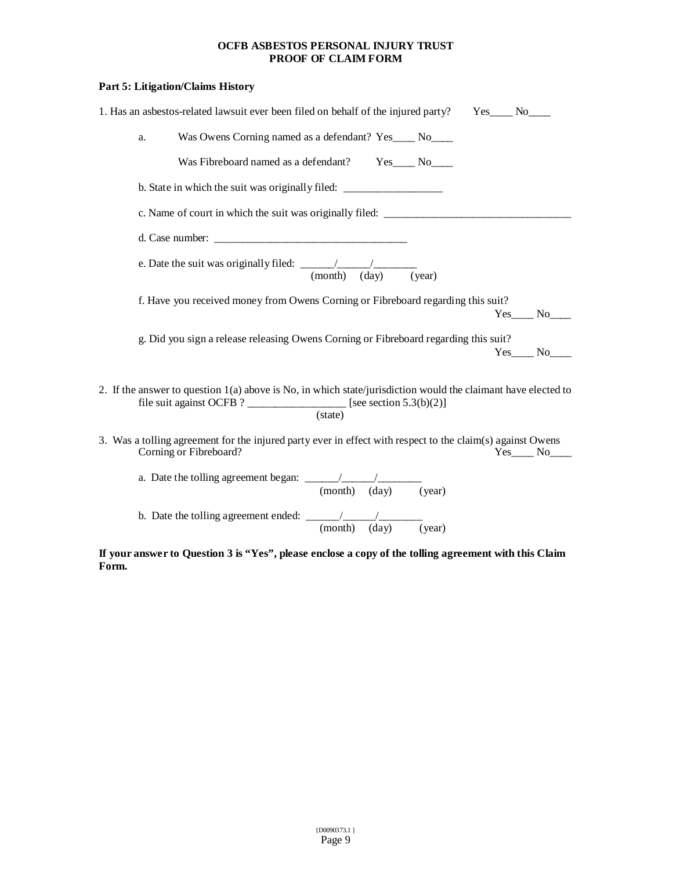# **Part 5: Litigation/Claims History**

| 1. Has an asbestos-related lawsuit ever been filed on behalf of the injured party?<br>Yes No                                                                                                          |
|-------------------------------------------------------------------------------------------------------------------------------------------------------------------------------------------------------|
| Was Owens Corning named as a defendant? Yes____ No____<br>a.                                                                                                                                          |
| Was Fibreboard named as a defendant? Yes No                                                                                                                                                           |
| b. State in which the suit was originally filed: _______________________________                                                                                                                      |
| c. Name of court in which the suit was originally filed: ________________________                                                                                                                     |
|                                                                                                                                                                                                       |
| e. Date the suit was originally filed: $\frac{\sqrt{1-x^2}}{(month) (day)}$<br>$\overline{(\text{year})}$                                                                                             |
| f. Have you received money from Owens Corning or Fibreboard regarding this suit?                                                                                                                      |
| g. Did you sign a release releasing Owens Corning or Fibreboard regarding this suit?                                                                                                                  |
| 2. If the answer to question $1(a)$ above is No, in which state/jurisdiction would the claimant have elected to<br>file suit against OCFB ? ___________________ [see section $5.3(b)(2)$ ]<br>(state) |
| 3. Was a tolling agreement for the injured party ever in effect with respect to the claim(s) against Owens<br>Corning or Fibreboard?                                                                  |
| a. Date the tolling agreement began: $\frac{1}{\frac{1}{2} \cdot 1}$<br>(month) (day)<br>(year)                                                                                                       |
| b. Date the tolling agreement ended: $\frac{1}{\sqrt{1-\frac{1}{2}}}\left  \frac{1}{\sqrt{1-\frac{1}{2}}}\right $<br>(month)<br>$\text{(day)}$<br>(year)                                              |

**If your answer to Question 3 is "Yes", please enclose a copy of the tolling agreement with this Claim Form.**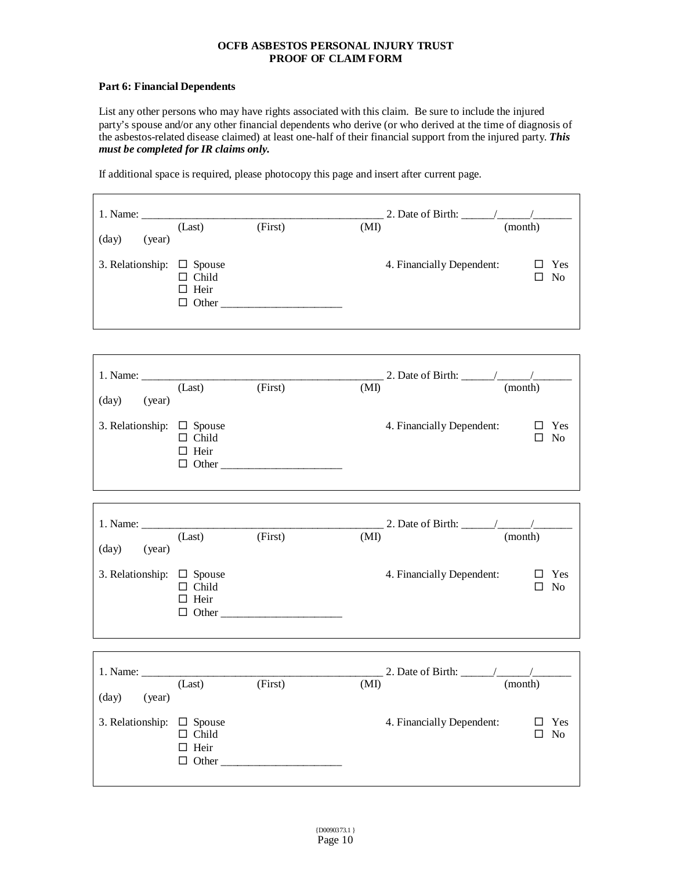## **Part 6: Financial Dependents**

 $\Gamma$ 

List any other persons who may have rights associated with this claim. Be sure to include the injured party's spouse and/or any other financial dependents who derive (or who derived at the time of diagnosis of the asbestos-related disease claimed) at least one-half of their financial support from the injured party. *This must be completed for IR claims only.*

If additional space is required, please photocopy this page and insert after current page.

| 1. Name: $\overline{\phantom{a}}$<br>$\text{(day)}$<br>(year) | (Last)                                                | (First) | (MI) | 2. Date of Birth:         | (month)               |
|---------------------------------------------------------------|-------------------------------------------------------|---------|------|---------------------------|-----------------------|
| 3. Relationship:                                              | $\Box$ Spouse<br>Child<br>$\Box$ Heir<br>$\Box$ Other |         |      | 4. Financially Dependent: | Yes<br>N <sub>0</sub> |

| 1. Name:<br>$\text{(day)}$<br>(year) | (Last)                                                       | (First) | (MI) | 2. Date of Birth:         | (month)               |
|--------------------------------------|--------------------------------------------------------------|---------|------|---------------------------|-----------------------|
| 3. Relationship:                     | $\Box$ Spouse<br>$\Box$ Child<br>$\Box$ Heir<br>$\Box$ Other |         |      | 4. Financially Dependent: | Yes<br>N <sub>0</sub> |

<u> 1980 - Johann Stoff, deutscher Stoffen und der Stoffen und der Stoffen und der Stoffen und der Stoffen und der</u>

| 1. Name:<br>$\text{(day)}$<br>(year) | (Last)                                                       | (First) | (MI) | 2. Date of Birth:         | (month)               |
|--------------------------------------|--------------------------------------------------------------|---------|------|---------------------------|-----------------------|
| 3. Relationship:                     | $\Box$ Spouse<br>$\Box$ Child<br>$\Box$ Heir<br>$\Box$ Other |         |      | 4. Financially Dependent: | Yes<br>N <sub>o</sub> |

| 1. Name:<br>$\rm (day)$<br>(year) | (Last)                                                | (First) | (MI) | 2. Date of Birth:         | (month)                    |
|-----------------------------------|-------------------------------------------------------|---------|------|---------------------------|----------------------------|
| 3. Relationship:                  | $\Box$ Spouse<br>Child<br>$\Box$ Heir<br>$\Box$ Other |         |      | 4. Financially Dependent: | Yes<br>N <sub>0</sub><br>□ |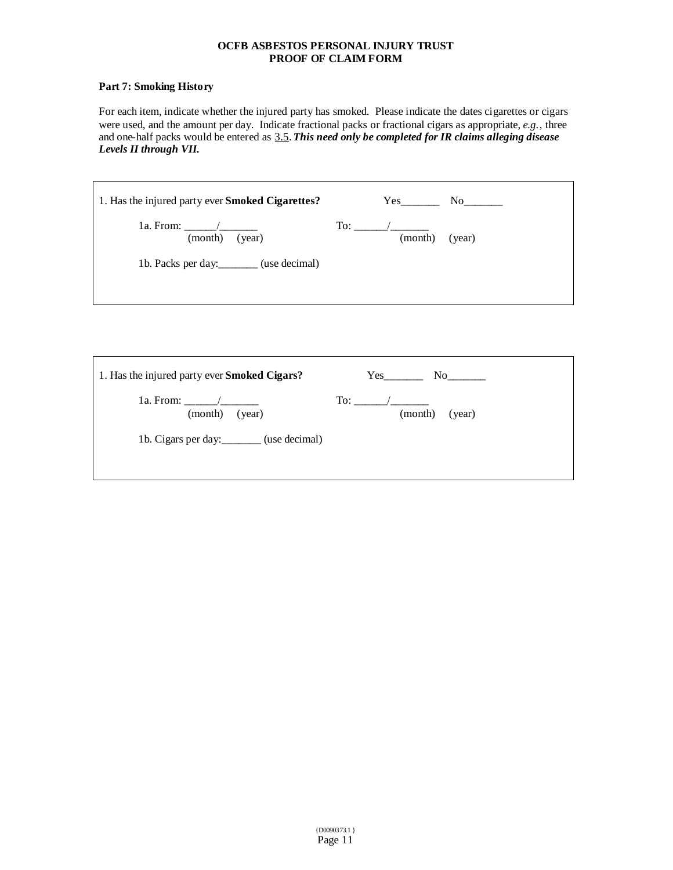# **Part 7: Smoking History**

For each item, indicate whether the injured party has smoked. Please indicate the dates cigarettes or cigars were used, and the amount per day. Indicate fractional packs or fractional cigars as appropriate, *e.g.*, three and one-half packs would be entered as 3.5.*This need only be completed for IR claims alleging disease Levels II through VII.*

| 1. Has the injured party ever <b>Smoked Cigarettes?</b>                                                                                                                                                                                                                                                                                                                                                                                                              | $Yes$ <sub>__________</sub> | $\rm No$ |
|----------------------------------------------------------------------------------------------------------------------------------------------------------------------------------------------------------------------------------------------------------------------------------------------------------------------------------------------------------------------------------------------------------------------------------------------------------------------|-----------------------------|----------|
| 1a. From: $\frac{1}{\sqrt{1-\frac{1}{2}} \cdot \frac{1}{\sqrt{1-\frac{1}{2}} \cdot \frac{1}{\sqrt{1-\frac{1}{2}} \cdot \frac{1}{\sqrt{1-\frac{1}{2}} \cdot \frac{1}{\sqrt{1-\frac{1}{2}} \cdot \frac{1}{\sqrt{1-\frac{1}{2}} \cdot \frac{1}{\sqrt{1-\frac{1}{2}} \cdot \frac{1}{\sqrt{1-\frac{1}{2}} \cdot \frac{1}{\sqrt{1-\frac{1}{2}} \cdot \frac{1}{\sqrt{1-\frac{1}{2}} \cdot \frac{1}{\sqrt{1-\frac{1}{2}} \cdot \frac{1}{\sqrt{1-\frac{$<br>(month)<br>(year) | (month)                     | (year)   |
| 1b. Packs per day: (use decimal)                                                                                                                                                                                                                                                                                                                                                                                                                                     |                             |          |
|                                                                                                                                                                                                                                                                                                                                                                                                                                                                      |                             |          |

| 1. Has the injured party ever Smoked Cigars?        | Yes               |
|-----------------------------------------------------|-------------------|
| 1a. From: $\frac{\sqrt{2}}{2}$<br>(month)<br>(year) | (month)<br>(year) |
| 1b. Cigars per day: _______ (use decimal)           |                   |
|                                                     |                   |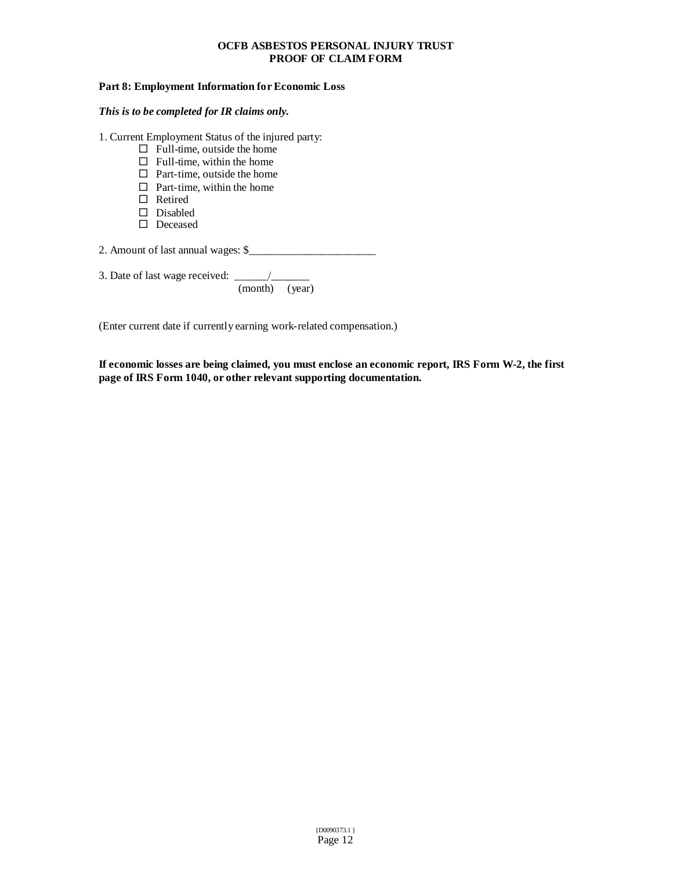#### **Part 8: Employment Information for Economic Loss**

#### *This is to be completed for IR claims only.*

1. Current Employment Status of the injured party:

- $\Box$  Full-time, outside the home
- $\Box$  Full-time, within the home
- $\Box$  Part-time, outside the home
- $\Box$  Part-time, within the home
- □ Retired
- Disabled
- □ Deceased

2. Amount of last annual wages: \$\_\_\_\_\_\_\_\_\_\_\_\_\_\_\_\_\_\_\_\_\_\_\_

3. Date of last wage received: \_\_\_\_\_\_/\_\_\_\_\_\_\_

(month) (year)

(Enter current date if currently earning work-related compensation.)

**If economic losses are being claimed, you must enclose an economic report, IRS Form W-2, the first page of IRS Form 1040, or other relevant supporting documentation.**